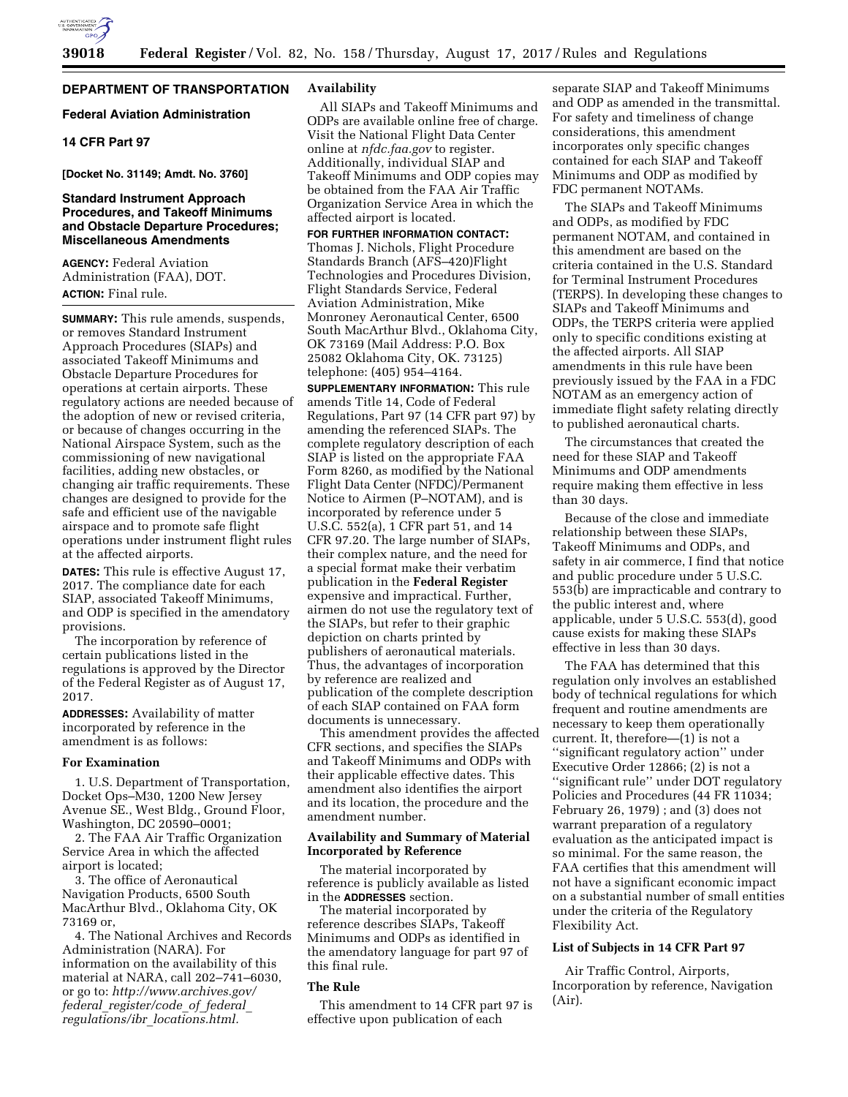

## **DEPARTMENT OF TRANSPORTATION**

## **Federal Aviation Administration**

## **14 CFR Part 97**

**[Docket No. 31149; Amdt. No. 3760]** 

#### **Standard Instrument Approach Procedures, and Takeoff Minimums and Obstacle Departure Procedures; Miscellaneous Amendments**

**AGENCY:** Federal Aviation Administration (FAA), DOT. **ACTION:** Final rule.

**SUMMARY:** This rule amends, suspends, or removes Standard Instrument Approach Procedures (SIAPs) and associated Takeoff Minimums and Obstacle Departure Procedures for operations at certain airports. These regulatory actions are needed because of the adoption of new or revised criteria, or because of changes occurring in the National Airspace System, such as the commissioning of new navigational facilities, adding new obstacles, or changing air traffic requirements. These changes are designed to provide for the safe and efficient use of the navigable airspace and to promote safe flight operations under instrument flight rules at the affected airports.

**DATES:** This rule is effective August 17, 2017. The compliance date for each SIAP, associated Takeoff Minimums, and ODP is specified in the amendatory provisions.

The incorporation by reference of certain publications listed in the regulations is approved by the Director of the Federal Register as of August 17, 2017.

**ADDRESSES:** Availability of matter incorporated by reference in the amendment is as follows:

#### **For Examination**

1. U.S. Department of Transportation, Docket Ops–M30, 1200 New Jersey Avenue SE., West Bldg., Ground Floor, Washington, DC 20590–0001;

2. The FAA Air Traffic Organization Service Area in which the affected airport is located;

3. The office of Aeronautical Navigation Products, 6500 South MacArthur Blvd., Oklahoma City, OK 73169 or,

4. The National Archives and Records Administration (NARA). For information on the availability of this material at NARA, call 202–741–6030, or go to: *[http://www.archives.gov/](http://www.archives.gov/federal_register/code_of_federal_regulations/ibr_locations.html) federal*\_*[register/code](http://www.archives.gov/federal_register/code_of_federal_regulations/ibr_locations.html)*\_*of*\_*federal*\_ *regulations/ibr*\_*[locations.html.](http://www.archives.gov/federal_register/code_of_federal_regulations/ibr_locations.html)* 

## **Availability**

All SIAPs and Takeoff Minimums and ODPs are available online free of charge. Visit the National Flight Data Center online at *nfdc.faa.gov* to register. Additionally, individual SIAP and Takeoff Minimums and ODP copies may be obtained from the FAA Air Traffic Organization Service Area in which the affected airport is located.

**FOR FURTHER INFORMATION CONTACT:**  Thomas J. Nichols, Flight Procedure Standards Branch (AFS–420)Flight Technologies and Procedures Division, Flight Standards Service, Federal Aviation Administration, Mike Monroney Aeronautical Center, 6500 South MacArthur Blvd., Oklahoma City, OK 73169 (Mail Address: P.O. Box 25082 Oklahoma City, OK. 73125) telephone: (405) 954–4164.

**SUPPLEMENTARY INFORMATION:** This rule amends Title 14, Code of Federal Regulations, Part 97 (14 CFR part 97) by amending the referenced SIAPs. The complete regulatory description of each SIAP is listed on the appropriate FAA Form 8260, as modified by the National Flight Data Center (NFDC)/Permanent Notice to Airmen (P–NOTAM), and is incorporated by reference under 5 U.S.C. 552(a), 1 CFR part 51, and 14 CFR 97.20. The large number of SIAPs, their complex nature, and the need for a special format make their verbatim publication in the **Federal Register**  expensive and impractical. Further, airmen do not use the regulatory text of the SIAPs, but refer to their graphic depiction on charts printed by publishers of aeronautical materials. Thus, the advantages of incorporation by reference are realized and publication of the complete description of each SIAP contained on FAA form documents is unnecessary.

This amendment provides the affected CFR sections, and specifies the SIAPs and Takeoff Minimums and ODPs with their applicable effective dates. This amendment also identifies the airport and its location, the procedure and the amendment number.

#### **Availability and Summary of Material Incorporated by Reference**

The material incorporated by reference is publicly available as listed in the **ADDRESSES** section.

The material incorporated by reference describes SIAPs, Takeoff Minimums and ODPs as identified in the amendatory language for part 97 of this final rule.

#### **The Rule**

This amendment to 14 CFR part 97 is effective upon publication of each

separate SIAP and Takeoff Minimums and ODP as amended in the transmittal. For safety and timeliness of change considerations, this amendment incorporates only specific changes contained for each SIAP and Takeoff Minimums and ODP as modified by FDC permanent NOTAMs.

The SIAPs and Takeoff Minimums and ODPs, as modified by FDC permanent NOTAM, and contained in this amendment are based on the criteria contained in the U.S. Standard for Terminal Instrument Procedures (TERPS). In developing these changes to SIAPs and Takeoff Minimums and ODPs, the TERPS criteria were applied only to specific conditions existing at the affected airports. All SIAP amendments in this rule have been previously issued by the FAA in a FDC NOTAM as an emergency action of immediate flight safety relating directly to published aeronautical charts.

The circumstances that created the need for these SIAP and Takeoff Minimums and ODP amendments require making them effective in less than 30 days.

Because of the close and immediate relationship between these SIAPs, Takeoff Minimums and ODPs, and safety in air commerce, I find that notice and public procedure under 5 U.S.C. 553(b) are impracticable and contrary to the public interest and, where applicable, under 5 U.S.C. 553(d), good cause exists for making these SIAPs effective in less than 30 days.

The FAA has determined that this regulation only involves an established body of technical regulations for which frequent and routine amendments are necessary to keep them operationally current. It, therefore—(1) is not a ''significant regulatory action'' under Executive Order 12866; (2) is not a ''significant rule'' under DOT regulatory Policies and Procedures (44 FR 11034; February 26, 1979) ; and (3) does not warrant preparation of a regulatory evaluation as the anticipated impact is so minimal. For the same reason, the FAA certifies that this amendment will not have a significant economic impact on a substantial number of small entities under the criteria of the Regulatory Flexibility Act.

#### **List of Subjects in 14 CFR Part 97**

Air Traffic Control, Airports, Incorporation by reference, Navigation (Air).